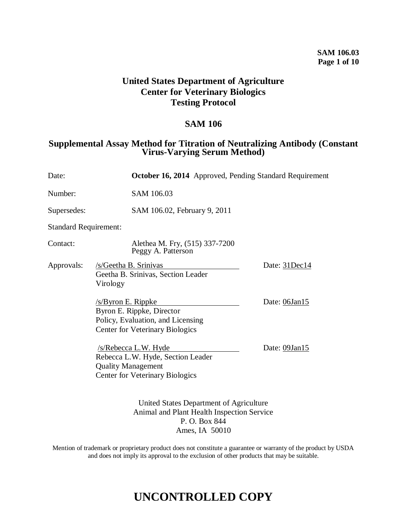### **SAM 106.03 Page 1 of 10**

# **United States Department of Agriculture Center for Veterinary Biologics Testing Protocol**

# **SAM 106**

# **Supplemental Assay Method for Titration of Neutralizing Antibody (Constant Virus-Varying Serum Method)**

| Date:                        |                                                                                                                                       | <b>October 16, 2014</b> Approved, Pending Standard Requirement |  |
|------------------------------|---------------------------------------------------------------------------------------------------------------------------------------|----------------------------------------------------------------|--|
| Number:                      | SAM 106.03                                                                                                                            |                                                                |  |
| Supersedes:                  | SAM 106.02, February 9, 2011                                                                                                          |                                                                |  |
| <b>Standard Requirement:</b> |                                                                                                                                       |                                                                |  |
| Contact:                     | Alethea M. Fry, (515) 337-7200<br>Peggy A. Patterson                                                                                  |                                                                |  |
| Approvals:                   | /s/Geetha B. Srinivas<br>Geetha B. Srinivas, Section Leader<br>Virology                                                               | Date: 31Dec14                                                  |  |
|                              | <u>/s/Byron E. Rippke</u><br>Byron E. Rippke, Director<br>Policy, Evaluation, and Licensing<br><b>Center for Veterinary Biologics</b> | Date: 06Jan15                                                  |  |
|                              | /s/Rebecca L.W. Hyde<br>Rebecca L.W. Hyde, Section Leader<br><b>Quality Management</b><br><b>Center for Veterinary Biologics</b>      | Date: 09Jan15                                                  |  |
|                              | United States Department of Agriculture<br>Animal and Plant Health Inspection Service<br>P. O. Box 844                                |                                                                |  |

Ames, IA 50010

Mention of trademark or proprietary product does not constitute a guarantee or warranty of the product by USDA and does not imply its approval to the exclusion of other products that may be suitable.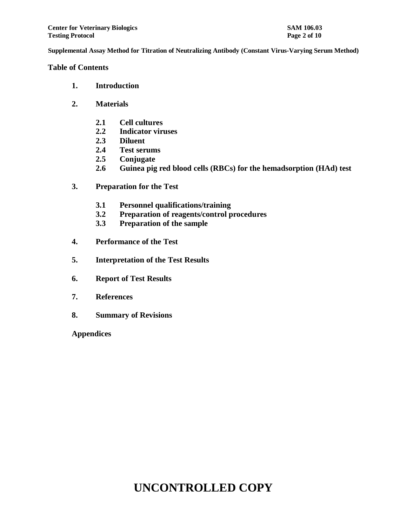**Table of Contents**

- **1. Introduction**
- **2. Materials**
	- **2.1 Cell cultures**
	- **2.2 Indicator viruses**
	- **2.3 Diluent**
	- **2.4 Test serums**
	- **2.5 Conjugate**
	- **2.6 Guinea pig red blood cells (RBCs) for the hemadsorption (HAd) test**
- **3. Preparation for the Test**
	- **3.1 Personnel qualifications/training**
	- **3.2 Preparation of reagents/control procedures**
	- **3.3 Preparation of the sample**
- **4. Performance of the Test**
- **5. Interpretation of the Test Results**
- **6. Report of Test Results**
- **7. References**
- **8. Summary of Revisions**

**Appendices**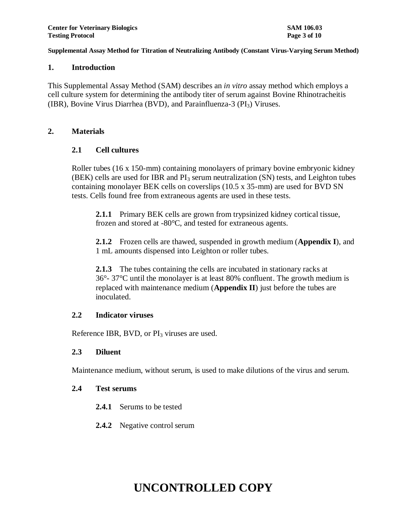#### **1. Introduction**

This Supplemental Assay Method (SAM) describes an *in vitro* assay method which employs a cell culture system for determining the antibody titer of serum against Bovine Rhinotracheitis (IBR), Bovine Virus Diarrhea (BVD), and Parainfluenza-3 ( $PI_3$ ) Viruses.

### **2. Materials**

### **2.1 Cell cultures**

Roller tubes (16 x 150-mm) containing monolayers of primary bovine embryonic kidney  $(BEK)$  cells are used for IBR and  $PI_3$  serum neutralization  $(SN)$  tests, and Leighton tubes containing monolayer BEK cells on coverslips (10.5 x 35-mm) are used for BVD SN tests. Cells found free from extraneous agents are used in these tests.

**2.1.1** Primary BEK cells are grown from trypsinized kidney cortical tissue, frozen and stored at -80°C, and tested for extraneous agents.

**2.1.2** Frozen cells are thawed, suspended in growth medium (**Appendix I**), and 1 mL amounts dispensed into Leighton or roller tubes.

**2.1.3** The tubes containing the cells are incubated in stationary racks at 36°- 37°C until the monolayer is at least 80% confluent. The growth medium is replaced with maintenance medium (**Appendix II**) just before the tubes are inoculated.

#### **2.2 Indicator viruses**

Reference IBR, BVD, or  $PI_3$  viruses are used.

### **2.3 Diluent**

Maintenance medium, without serum, is used to make dilutions of the virus and serum.

#### **2.4 Test serums**

- **2.4.1** Serums to be tested
- **2.4.2** Negative control serum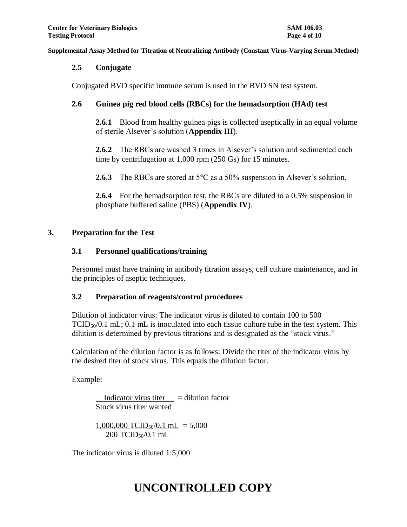#### **2.5 Conjugate**

Conjugated BVD specific immune serum is used in the BVD SN test system.

## **2.6 Guinea pig red blood cells (RBCs) for the hemadsorption (HAd) test**

**2.6.1** Blood from healthy guinea pigs is collected aseptically in an equal volume of sterile Alsever's solution (**Appendix III**).

**2.6.2** The RBCs are washed 3 times in Alsever's solution and sedimented each time by centrifugation at 1,000 rpm (250 Gs) for 15 minutes.

**2.6.3** The RBCs are stored at 5<sup>o</sup>C as a 50% suspension in Alsever's solution.

**2.6.4** For the hemadsorption test, the RBCs are diluted to a 0.5% suspension in phosphate buffered saline (PBS) (**Appendix IV**).

#### **3. Preparation for the Test**

### **3.1 Personnel qualifications/training**

Personnel must have training in antibody titration assays, cell culture maintenance, and in the principles of aseptic techniques.

### **3.2 Preparation of reagents/control procedures**

Dilution of indicator virus: The indicator virus is diluted to contain 100 to 500  $TCID<sub>50</sub>/0.1$  mL; 0.1 mL is inoculated into each tissue culture tube in the test system. This dilution is determined by previous titrations and is designated as the "stock virus."

Calculation of the dilution factor is as follows: Divide the titer of the indicator virus by the desired titer of stock virus. This equals the dilution factor.

Example:

Indicator virus titer  $=$  dilution factor Stock virus titer wanted

$$
\frac{1,000,000 \text{ TCID}_{50}/0.1 \text{ mL}}{200 \text{ TCID}_{50}/0.1 \text{ mL}} = 5,000
$$

The indicator virus is diluted 1:5,000.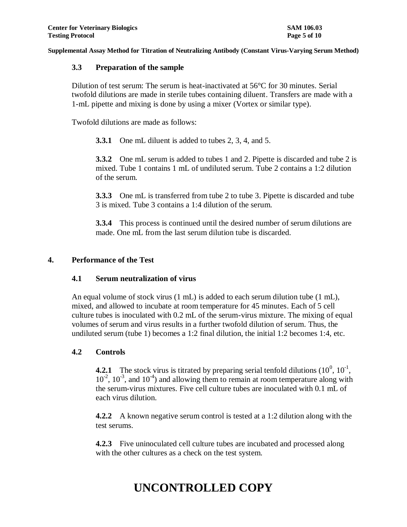### **3.3 Preparation of the sample**

Dilution of test serum: The serum is heat-inactivated at 56°C for 30 minutes. Serial twofold dilutions are made in sterile tubes containing diluent. Transfers are made with a 1-mL pipette and mixing is done by using a mixer (Vortex or similar type).

Twofold dilutions are made as follows:

**3.3.1** One mL diluent is added to tubes 2, 3, 4, and 5.

**3.3.2** One mL serum is added to tubes 1 and 2. Pipette is discarded and tube 2 is mixed. Tube 1 contains 1 mL of undiluted serum. Tube 2 contains a 1:2 dilution of the serum.

**3.3.3** One mL is transferred from tube 2 to tube 3. Pipette is discarded and tube 3 is mixed. Tube 3 contains a 1:4 dilution of the serum.

**3.3.4** This process is continued until the desired number of serum dilutions are made. One mL from the last serum dilution tube is discarded.

#### **4. Performance of the Test**

### **4.1 Serum neutralization of virus**

An equal volume of stock virus (1 mL) is added to each serum dilution tube (1 mL), mixed, and allowed to incubate at room temperature for 45 minutes. Each of 5 cell culture tubes is inoculated with 0.2 mL of the serum-virus mixture. The mixing of equal volumes of serum and virus results in a further twofold dilution of serum. Thus, the undiluted serum (tube 1) becomes a 1:2 final dilution, the initial 1:2 becomes 1:4, etc.

### **4.2 Controls**

**4.2.1** The stock virus is titrated by preparing serial tenfold dilutions  $(10^0, 10^{-1},$  $10^{-2}$ ,  $10^{-3}$ , and  $10^{-4}$ ) and allowing them to remain at room temperature along with the serum-virus mixtures. Five cell culture tubes are inoculated with 0.1 mL of each virus dilution.

**4.2.2** A known negative serum control is tested at a 1:2 dilution along with the test serums.

**4.2.3** Five uninoculated cell culture tubes are incubated and processed along with the other cultures as a check on the test system.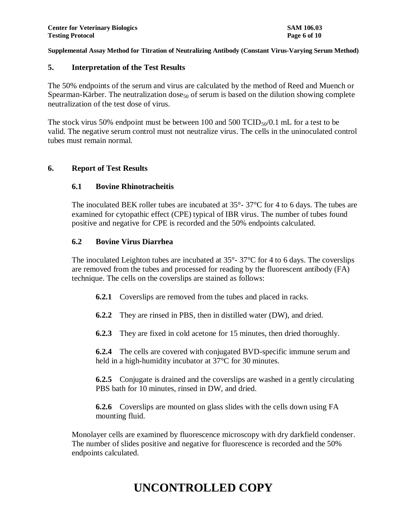#### **5. Interpretation of the Test Results**

The 50% endpoints of the serum and virus are calculated by the method of Reed and Muench or Spearman-Kärber. The neutralization dose<sub>50</sub> of serum is based on the dilution showing complete neutralization of the test dose of virus.

The stock virus 50% endpoint must be between 100 and 500 TCID $_{50}/0.1$  mL for a test to be valid. The negative serum control must not neutralize virus. The cells in the uninoculated control tubes must remain normal.

#### **6. Report of Test Results**

### **6.1 Bovine Rhinotracheitis**

The inoculated BEK roller tubes are incubated at 35°- 37°C for 4 to 6 days. The tubes are examined for cytopathic effect (CPE) typical of IBR virus. The number of tubes found positive and negative for CPE is recorded and the 50% endpoints calculated.

#### **6.2 Bovine Virus Diarrhea**

The inoculated Leighton tubes are incubated at  $35^{\circ}$ -  $37^{\circ}$ C for 4 to 6 days. The coverslips are removed from the tubes and processed for reading by the fluorescent antibody (FA) technique. The cells on the coverslips are stained as follows:

- **6.2.1** Coverslips are removed from the tubes and placed in racks.
- **6.2.2** They are rinsed in PBS, then in distilled water (DW), and dried.
- **6.2.3** They are fixed in cold acetone for 15 minutes, then dried thoroughly.

**6.2.4** The cells are covered with conjugated BVD-specific immune serum and held in a high-humidity incubator at 37<sup>o</sup>C for 30 minutes.

**6.2.5** Conjugate is drained and the coverslips are washed in a gently circulating PBS bath for 10 minutes, rinsed in DW, and dried.

**6.2.6** Coverslips are mounted on glass slides with the cells down using FA mounting fluid.

Monolayer cells are examined by fluorescence microscopy with dry darkfield condenser. The number of slides positive and negative for fluorescence is recorded and the 50% endpoints calculated.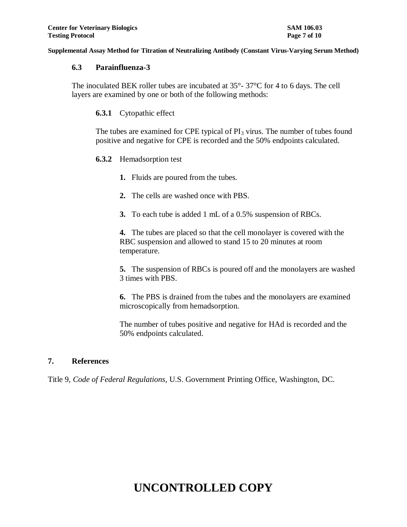#### **6.3 Parainfluenza-3**

The inoculated BEK roller tubes are incubated at 35°- 37°C for 4 to 6 days. The cell layers are examined by one or both of the following methods:

**6.3.1** Cytopathic effect

The tubes are examined for CPE typical of  $PI_3$  virus. The number of tubes found positive and negative for CPE is recorded and the 50% endpoints calculated.

#### **6.3.2** Hemadsorption test

- **1.** Fluids are poured from the tubes.
- **2.** The cells are washed once with PBS.
- **3.** To each tube is added 1 mL of a 0.5% suspension of RBCs.

**4.** The tubes are placed so that the cell monolayer is covered with the RBC suspension and allowed to stand 15 to 20 minutes at room temperature.

**5.** The suspension of RBCs is poured off and the monolayers are washed 3 times with PBS.

**6.** The PBS is drained from the tubes and the monolayers are examined microscopically from hemadsorption.

The number of tubes positive and negative for HAd is recorded and the 50% endpoints calculated.

### **7. References**

Title 9, *Code of Federal Regulations*, U.S. Government Printing Office, Washington, DC.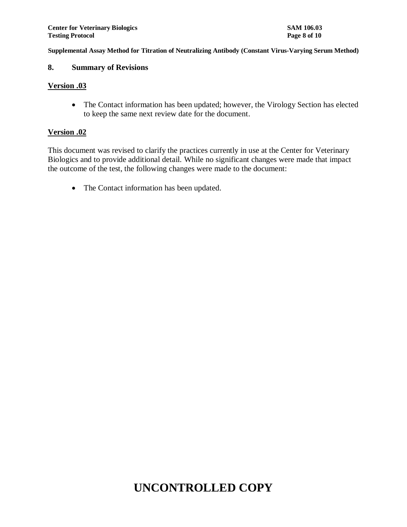### **8. Summary of Revisions**

#### **Version .03**

• The Contact information has been updated; however, the Virology Section has elected to keep the same next review date for the document.

#### **Version .02**

This document was revised to clarify the practices currently in use at the Center for Veterinary Biologics and to provide additional detail. While no significant changes were made that impact the outcome of the test, the following changes were made to the document:

• The Contact information has been updated.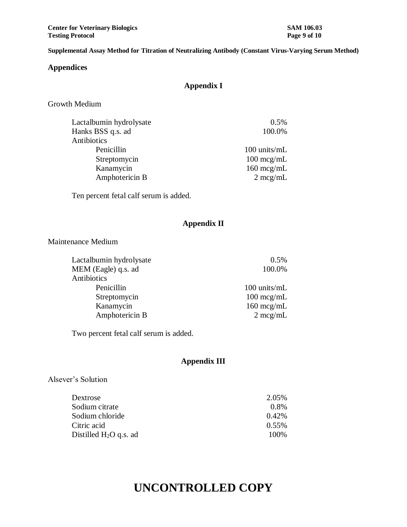**Center for Veterinary Biologics SAM 106.03 Testing Protocol Page 9 of 10**

**Supplemental Assay Method for Titration of Neutralizing Antibody (Constant Virus-Varying Serum Method)**

#### **Appendices**

# **Appendix I**

Growth Medium

| $0.5\%$              |
|----------------------|
| 100.0%               |
|                      |
| 100 units/mL         |
| $100 \text{~mcg/mL}$ |
| $160 \text{~mcg/mL}$ |
| $2 \text{ mcg/mL}$   |
|                      |

Ten percent fetal calf serum is added.

# **Appendix II**

Maintenance Medium

| 0.5%                 |
|----------------------|
| 100.0%               |
|                      |
| 100 units/mL         |
| $100 \text{~mcg/mL}$ |
| $160 \text{~mcg/mL}$ |
| $2 \text{ mcg/mL}$   |
|                      |

Two percent fetal calf serum is added.

# **Appendix III**

## Alsever's Solution

| 2.05%    |
|----------|
| $0.8\%$  |
| $0.42\%$ |
| $0.55\%$ |
| 100%     |
|          |